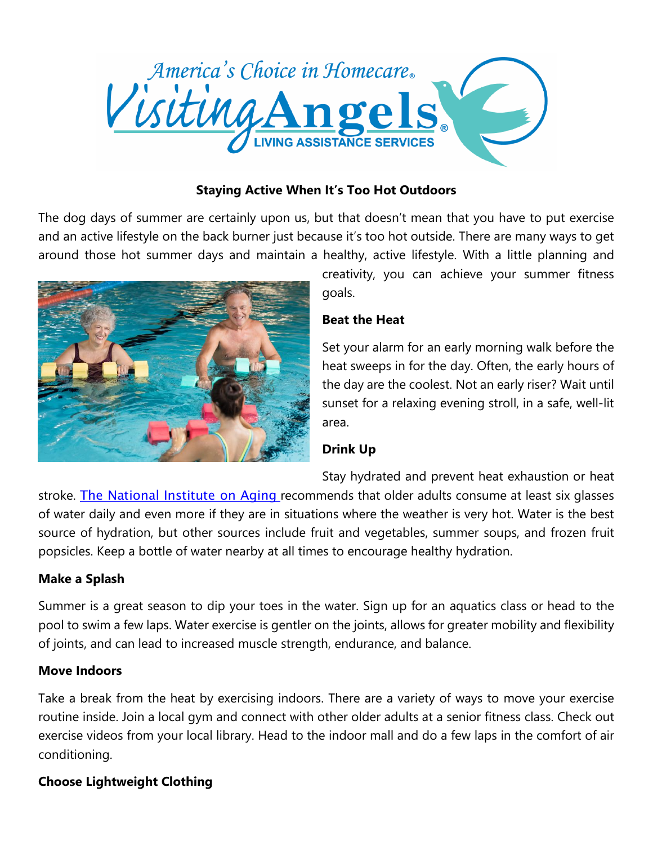

### **Staying Active When It's Too Hot Outdoors**

The dog days of summer are certainly upon us, but that doesn't mean that you have to put exercise and an active lifestyle on the back burner just because it's too hot outside. There are many ways to get around those hot summer days and maintain a healthy, active lifestyle. With a little planning and



creativity, you can achieve your summer fitness goals.

### **Beat the Heat**

Set your alarm for an early morning walk before the heat sweeps in for the day. Often, the early hours of the day are the coolest. Not an early riser? Wait until sunset for a relaxing evening stroll, in a safe, well-lit area.

# **Drink Up**

Stay hydrated and prevent heat exhaustion or heat

stroke. The [National](https://www.nia.nih.gov/health/publication/whats-your-plate/water) Institute on Aging recommends that older adults consume at least six glasses of water daily and even more if they are in situations where the weather is very hot. Water is the best source of hydration, but other sources include fruit and vegetables, summer soups, and frozen fruit popsicles. Keep a bottle of water nearby at all times to encourage healthy hydration.

#### **Make a Splash**

Summer is a great season to dip your toes in the water. Sign up for an aquatics class or head to the pool to swim a few laps. Water exercise is gentler on the joints, allows for greater mobility and flexibility of joints, and can lead to increased muscle strength, endurance, and balance.

#### **Move Indoors**

Take a break from the heat by exercising indoors. There are a variety of ways to move your exercise routine inside. Join a local gym and connect with other older adults at a senior fitness class. Check out exercise videos from your local library. Head to the indoor mall and do a few laps in the comfort of air conditioning.

# **Choose Lightweight Clothing**